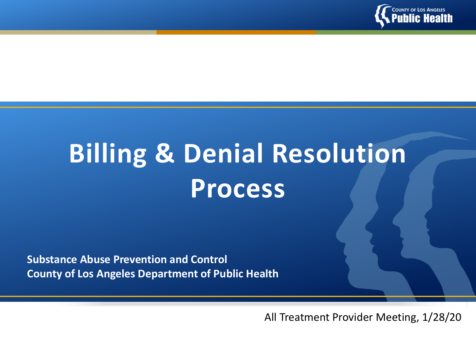

# **Billing & Denial Resolution Process**

**Substance Abuse Prevention and Control County of Los Angeles Department of Public Health**

All Treatment Provider Meeting, 1/28/20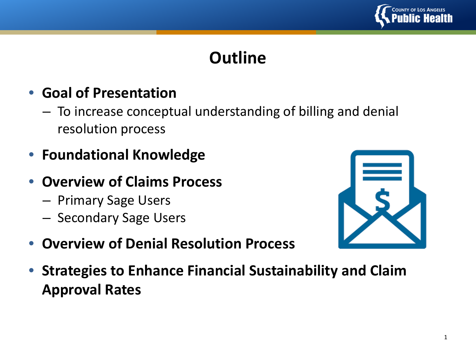

# **Outline**

#### • **Goal of Presentation**

- To increase conceptual understanding of billing and denial resolution process
- **Foundational Knowledge**
- **Overview of Claims Process**
	- Primary Sage Users
	- Secondary Sage Users



- **Overview of Denial Resolution Process**
- **Strategies to Enhance Financial Sustainability and Claim Approval Rates**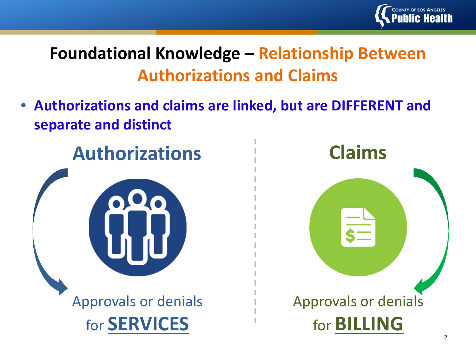

# **Foundational Knowledge – Relationship Between Authorizations and Claims**

• **Authorizations and claims are linked, but are DIFFERENT and separate and distinct**

**Authorizations**



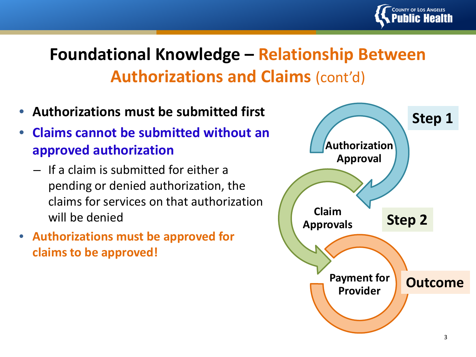

# **Foundational Knowledge – Relationship Between Authorizations and Claims (cont'd)**

- **Authorizations must be submitted first**
- **Claims cannot be submitted without an approved authorization**
	- If a claim is submitted for either a pending or denied authorization, the claims for services on that authorization will be denied
- **Authorizations must be approved for claims to be approved!**

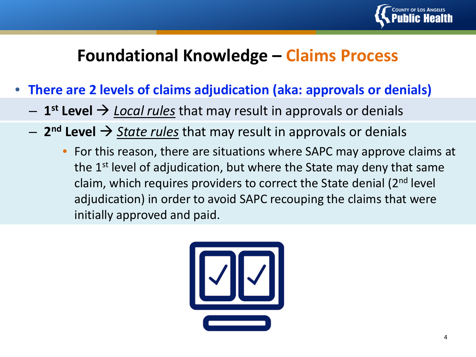![](_page_4_Picture_0.jpeg)

## **Foundational Knowledge – Claims Process**

- **There are 2 levels of claims adjudication (aka: approvals or denials)**
	- $-$  1<sup>st</sup> Level  $\rightarrow$  *Local rules* that may result in approvals or denials
	- **2nd Level** *State rules* that may result in approvals or denials
		- For this reason, there are situations where SAPC may approve claims at the 1<sup>st</sup> level of adjudication, but where the State may deny that same claim, which requires providers to correct the State denial  $(2^{nd}$  level adjudication) in order to avoid SAPC recouping the claims that were initially approved and paid.

![](_page_4_Picture_6.jpeg)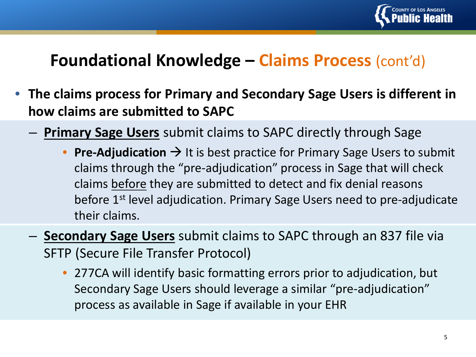![](_page_5_Picture_0.jpeg)

## **Foundational Knowledge – Claims Process** (cont'd)

- **The claims process for Primary and Secondary Sage Users is different in how claims are submitted to SAPC** 
	- **Primary Sage Users** submit claims to SAPC directly through Sage
		- **Pre-Adjudication**  $\rightarrow$  It is best practice for Primary Sage Users to submit claims through the "pre-adjudication" process in Sage that will check claims before they are submitted to detect and fix denial reasons before 1<sup>st</sup> level adjudication. Primary Sage Users need to pre-adjudicate their claims.
	- **Secondary Sage Users** submit claims to SAPC through an 837 file via SFTP (Secure File Transfer Protocol)
		- 277CA will identify basic formatting errors prior to adjudication, but Secondary Sage Users should leverage a similar "pre-adjudication" process as available in Sage if available in your EHR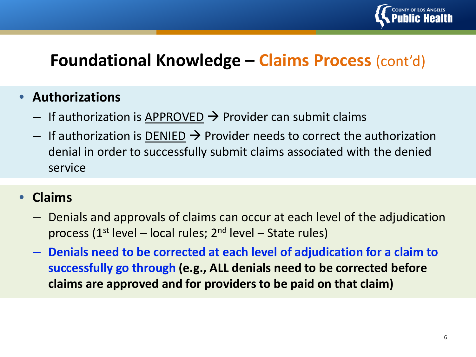![](_page_6_Picture_0.jpeg)

## **Foundational Knowledge – Claims Process** (cont'd)

#### • **Authorizations**

- $-$  If authorization is APPROVED  $\rightarrow$  Provider can submit claims
- $-$  If authorization is DENIED  $\rightarrow$  Provider needs to correct the authorization denial in order to successfully submit claims associated with the denied service

#### • **Claims**

- Denials and approvals of claims can occur at each level of the adjudication process (1<sup>st</sup> level – local rules;  $2<sup>nd</sup>$  level – State rules)
- **Denials need to be corrected at each level of adjudication for a claim to successfully go through (e.g., ALL denials need to be corrected before claims are approved and for providers to be paid on that claim)**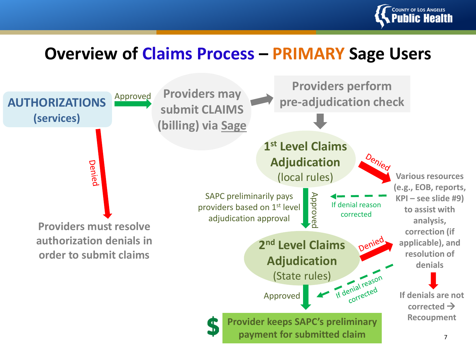![](_page_7_Picture_0.jpeg)

#### **Overview of Claims Process – PRIMARY Sage Users**

![](_page_7_Figure_2.jpeg)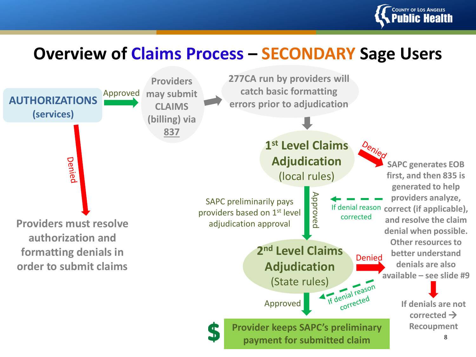![](_page_8_Picture_0.jpeg)

## **Overview of Claims Process – SECONDARY Sage Users**

![](_page_8_Figure_2.jpeg)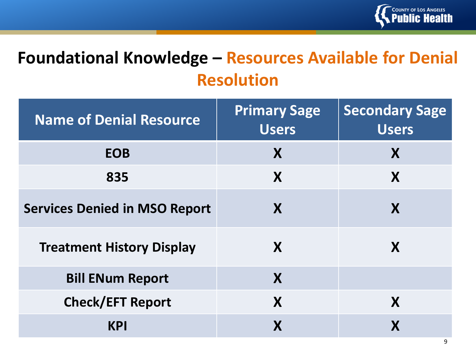![](_page_9_Picture_0.jpeg)

# **Foundational Knowledge – Resources Available for Denial Resolution**

| <b>Name of Denial Resource</b>       | <b>Primary Sage</b><br><b>Users</b> | <b>Secondary Sage</b><br><b>Users</b> |
|--------------------------------------|-------------------------------------|---------------------------------------|
| <b>EOB</b>                           | X                                   | X                                     |
| 835                                  | X                                   | X                                     |
| <b>Services Denied in MSO Report</b> | X                                   | X                                     |
| <b>Treatment History Display</b>     | X                                   | X                                     |
| <b>Bill ENum Report</b>              | X                                   |                                       |
| <b>Check/EFT Report</b>              | X                                   | X                                     |
| <b>KPI</b>                           | X                                   |                                       |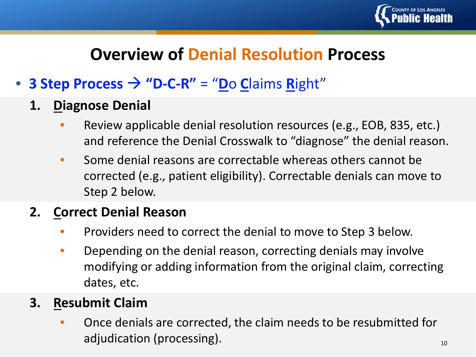![](_page_10_Picture_0.jpeg)

## **Overview of Denial Resolution Process**

#### • **3 Step Process**  $\rightarrow$  **"D-C-R"** = "Do Claims Right"

- **1. Diagnose Denial**
	- Review applicable denial resolution resources (e.g., EOB, 835, etc.) and reference the Denial Crosswalk to "diagnose" the denial reason.
	- Some denial reasons are correctable whereas others cannot be corrected (e.g., patient eligibility). Correctable denials can move to Step 2 below.

#### **2. Correct Denial Reason**

- Providers need to correct the denial to move to Step 3 below.
- Depending on the denial reason, correcting denials may involve modifying or adding information from the original claim, correcting dates, etc.

#### **3. Resubmit Claim**

• Once denials are corrected, the claim needs to be resubmitted for adjudication (processing).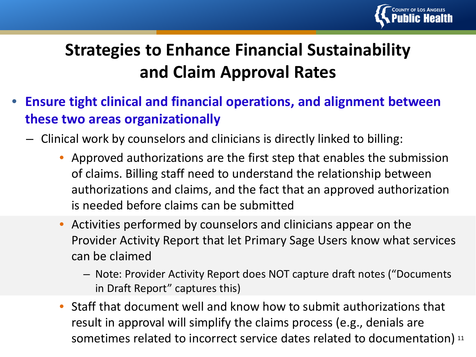![](_page_11_Picture_0.jpeg)

# **Strategies to Enhance Financial Sustainability and Claim Approval Rates**

- **Ensure tight clinical and financial operations, and alignment between these two areas organizationally**
	- Clinical work by counselors and clinicians is directly linked to billing:
		- Approved authorizations are the first step that enables the submission of claims. Billing staff need to understand the relationship between authorizations and claims, and the fact that an approved authorization is needed before claims can be submitted
		- Activities performed by counselors and clinicians appear on the Provider Activity Report that let Primary Sage Users know what services can be claimed
			- Note: Provider Activity Report does NOT capture draft notes ("Documents in Draft Report" captures this)
		- sometimes related to incorrect service dates related to documentation)  $11$ • Staff that document well and know how to submit authorizations that result in approval will simplify the claims process (e.g., denials are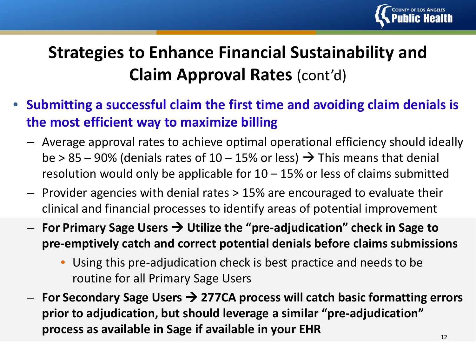![](_page_12_Picture_0.jpeg)

# **Strategies to Enhance Financial Sustainability and Claim Approval Rates** (cont'd)

- **Submitting a successful claim the first time and avoiding claim denials is the most efficient way to maximize billing**
	- Average approval rates to achieve optimal operational efficiency should ideally be > 85 – 90% (denials rates of  $10 - 15%$  or less)  $\rightarrow$  This means that denial resolution would only be applicable for  $10 - 15%$  or less of claims submitted
	- Provider agencies with denial rates > 15% are encouraged to evaluate their clinical and financial processes to identify areas of potential improvement
	- **For Primary Sage Users Utilize the "pre-adjudication" check in Sage to pre-emptively catch and correct potential denials before claims submissions**
		- Using this pre-adjudication check is best practice and needs to be routine for all Primary Sage Users
	- $-$  For Secondary Sage Users → 277CA process will catch basic formatting errors **prior to adjudication, but should leverage a similar "pre-adjudication" process as available in Sage if available in your EHR**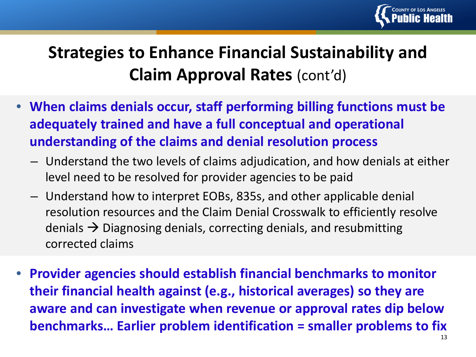![](_page_13_Picture_0.jpeg)

# **Strategies to Enhance Financial Sustainability and Claim Approval Rates** (cont'd)

- **When claims denials occur, staff performing billing functions must be adequately trained and have a full conceptual and operational understanding of the claims and denial resolution process**
	- Understand the two levels of claims adjudication, and how denials at either level need to be resolved for provider agencies to be paid
	- Understand how to interpret EOBs, 835s, and other applicable denial resolution resources and the Claim Denial Crosswalk to efficiently resolve denials  $\rightarrow$  Diagnosing denials, correcting denials, and resubmitting corrected claims
- **Provider agencies should establish financial benchmarks to monitor their financial health against (e.g., historical averages) so they are aware and can investigate when revenue or approval rates dip below benchmarks… Earlier problem identification = smaller problems to fix**